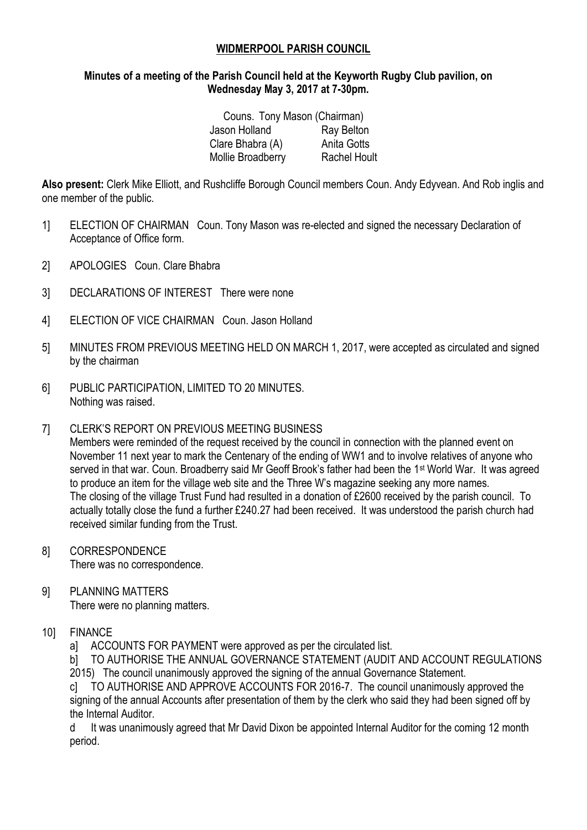### **WIDMERPOOL PARISH COUNCIL**

### **Minutes of a meeting of the Parish Council held at the Keyworth Rugby Club pavilion, on Wednesday May 3, 2017 at 7-30pm.**

| Couns. Tony Mason (Chairman) |                     |
|------------------------------|---------------------|
| Jason Holland                | Ray Belton          |
| Clare Bhabra (A)             | Anita Gotts         |
| Mollie Broadberry            | <b>Rachel Hoult</b> |

**Also present:** Clerk Mike Elliott, and Rushcliffe Borough Council members Coun. Andy Edyvean. And Rob inglis and one member of the public.

- 1] ELECTION OF CHAIRMAN Coun. Tony Mason was re-elected and signed the necessary Declaration of Acceptance of Office form.
- 2] APOLOGIES Coun. Clare Bhabra
- 3] DECLARATIONS OF INTEREST There were none
- 4] ELECTION OF VICE CHAIRMAN Coun. Jason Holland
- 5] MINUTES FROM PREVIOUS MEETING HELD ON MARCH 1, 2017, were accepted as circulated and signed by the chairman
- 6] PUBLIC PARTICIPATION, LIMITED TO 20 MINUTES. Nothing was raised.

### 7] CLERK'S REPORT ON PREVIOUS MEETING BUSINESS

Members were reminded of the request received by the council in connection with the planned event on November 11 next year to mark the Centenary of the ending of WW1 and to involve relatives of anyone who served in that war. Coun. Broadberry said Mr Geoff Brook's father had been the 1st World War. It was agreed to produce an item for the village web site and the Three W's magazine seeking any more names. The closing of the village Trust Fund had resulted in a donation of £2600 received by the parish council. To actually totally close the fund a further £240.27 had been received. It was understood the parish church had received similar funding from the Trust.

- 8] CORRESPONDENCE There was no correspondence.
- 9] PLANNING MATTERS There were no planning matters.

# 10] FINANCE

a] ACCOUNTS FOR PAYMENT were approved as per the circulated list.

b] TO AUTHORISE THE ANNUAL GOVERNANCE STATEMENT (AUDIT AND ACCOUNT REGULATIONS 2015) The council unanimously approved the signing of the annual Governance Statement.

c] TO AUTHORISE AND APPROVE ACCOUNTS FOR 2016-7. The council unanimously approved the signing of the annual Accounts after presentation of them by the clerk who said they had been signed off by the Internal Auditor.

d It was unanimously agreed that Mr David Dixon be appointed Internal Auditor for the coming 12 month period.